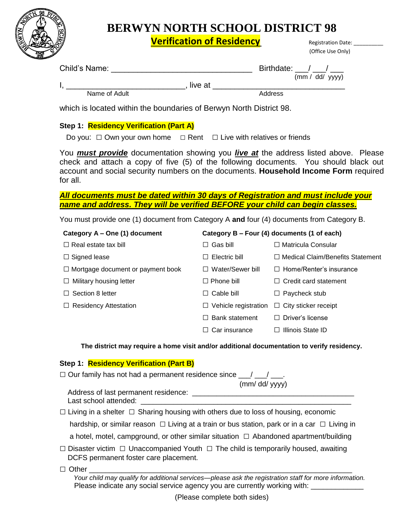

## **BERWYN NORTH SCHOOL DISTRICT 98**

**Verification of Residency** Registration Date: \_\_\_\_\_\_\_\_\_\_\_\_\_\_\_\_\_\_\_\_\_\_\_\_\_\_\_\_\_\_\_\_\_\_\_

|                                                                                                                                                                                                                                                                                               |                       | (Office Use Only)                                       |
|-----------------------------------------------------------------------------------------------------------------------------------------------------------------------------------------------------------------------------------------------------------------------------------------------|-----------------------|---------------------------------------------------------|
|                                                                                                                                                                                                                                                                                               |                       | Birthdate: $\frac{1}{(mm / dd / yyyy)}$                 |
|                                                                                                                                                                                                                                                                                               |                       |                                                         |
|                                                                                                                                                                                                                                                                                               |                       | Address                                                 |
| which is located within the boundaries of Berwyn North District 98.                                                                                                                                                                                                                           |                       |                                                         |
| Step 1: Residency Verification (Part A)                                                                                                                                                                                                                                                       |                       |                                                         |
| Do you: $\Box$ Own your own home $\Box$ Rent $\Box$ Live with relatives or friends                                                                                                                                                                                                            |                       |                                                         |
| You <b>must provide</b> documentation showing you <i>live at</i> the address listed above. Please<br>check and attach a copy of five (5) of the following documents. You should black out<br>account and social security numbers on the documents. Household Income Form required<br>for all. |                       |                                                         |
| All documents must be dated within 30 days of Registration and must include your                                                                                                                                                                                                              |                       |                                                         |
| name and address. They will be verified BEFORE your child can begin classes.                                                                                                                                                                                                                  |                       |                                                         |
| You must provide one (1) document from Category A and four (4) documents from Category B.                                                                                                                                                                                                     |                       |                                                         |
| Category A - One (1) document                                                                                                                                                                                                                                                                 |                       | Category B - Four (4) documents (1 of each)             |
| $\Box$ Real estate tax bill                                                                                                                                                                                                                                                                   | $\Box$ Gas bill       | □ Matricula Consular                                    |
| $\Box$ Signed lease                                                                                                                                                                                                                                                                           | $\Box$ Electric bill  | □ Medical Claim/Benefits Statement                      |
| $\Box$ Mortgage document or payment book                                                                                                                                                                                                                                                      | □ Water/Sewer bill    | $\Box$ Home/Renter's insurance                          |
| $\Box$ Military housing letter                                                                                                                                                                                                                                                                | $\Box$ Phone bill     | $\Box$ Credit card statement                            |
| $\Box$ Section 8 letter                                                                                                                                                                                                                                                                       | $\Box$ Cable bill     | $\Box$ Paycheck stub                                    |
| $\Box$ Residency Attestation                                                                                                                                                                                                                                                                  |                       | $\Box$ Vehicle registration $\Box$ City sticker receipt |
|                                                                                                                                                                                                                                                                                               | $\Box$ Bank statement | $\Box$ Driver's license                                 |
|                                                                                                                                                                                                                                                                                               | $\Box$ Car insurance  | $\Box$ Illinois State ID                                |
| The district may require a home visit and/or additional documentation to verify residency.                                                                                                                                                                                                    |                       |                                                         |
| Step 1: Residency Verification (Part B)                                                                                                                                                                                                                                                       |                       |                                                         |
| $\Box$ Our family has not had a permanent residence since $\Box / \Box / \Box$ .                                                                                                                                                                                                              |                       | $(mm/dd/\gamma yyy)$                                    |
|                                                                                                                                                                                                                                                                                               |                       |                                                         |

 $\Box$  Living in a shelter  $\Box$  Sharing housing with others due to loss of housing, economic

hardship, or similar reason  $\Box$  Living at a train or bus station, park or in a car  $\Box$  Living in

a hotel, motel, campground, or other similar situation  $\Box$  Abandoned apartment/building

□ Disaster victim □ Unaccompanied Youth □ The child is temporarily housed, awaiting DCFS permanent foster care placement.

□ Other \_\_\_\_\_\_\_\_\_\_\_\_\_\_\_\_\_\_\_\_\_\_\_\_\_\_\_\_\_\_\_\_\_\_\_\_\_\_\_\_\_\_\_\_\_\_\_\_\_\_\_\_\_\_\_\_\_\_\_\_\_\_\_\_\_

 *Your child may qualify for additional services—please ask the registration staff for more information.* Please indicate any social service agency you are currently working with: \_\_\_\_\_\_\_\_\_\_\_\_